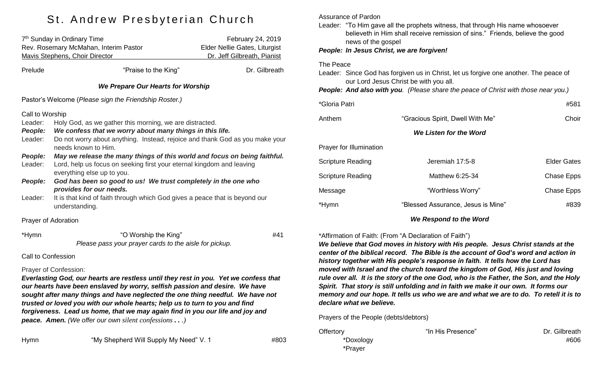# St. Andrew Presbyterian Church

| 7 <sup>th</sup> Sunday in Ordinary Time<br>Rev. Rosemary McMahan, Interim Pastor<br>Mavis Stephens, Choir Director |                                                                                                                                                                                                                                               | February 24, 2019<br>Elder Nellie Gates, Liturgist<br>Dr. Jeff Gilbreath, Pianist |  |  |  |
|--------------------------------------------------------------------------------------------------------------------|-----------------------------------------------------------------------------------------------------------------------------------------------------------------------------------------------------------------------------------------------|-----------------------------------------------------------------------------------|--|--|--|
| Prelude                                                                                                            | "Praise to the King"                                                                                                                                                                                                                          | Dr. Gilbreath                                                                     |  |  |  |
| We Prepare Our Hearts for Worship                                                                                  |                                                                                                                                                                                                                                               |                                                                                   |  |  |  |
| Pastor's Welcome (Please sign the Friendship Roster.)                                                              |                                                                                                                                                                                                                                               |                                                                                   |  |  |  |
| Leader:<br><b>People:</b><br>Leader:                                                                               | Call to Worship<br>Holy God, as we gather this morning, we are distracted.<br>We confess that we worry about many things in this life.<br>Do not worry about anything. Instead, rejoice and thank God as you make your<br>needs known to Him. |                                                                                   |  |  |  |
| People:<br>Leader:                                                                                                 | May we release the many things of this world and focus on being faithful.<br>Lord, help us focus on seeking first your eternal kingdom and leaving<br>everything else up to you.                                                              |                                                                                   |  |  |  |
| People:                                                                                                            | God has been so good to us! We trust completely in the one who<br>provides for our needs.                                                                                                                                                     |                                                                                   |  |  |  |
| Leader:                                                                                                            | It is that kind of faith through which God gives a peace that is beyond our<br>understanding.                                                                                                                                                 |                                                                                   |  |  |  |
| Prayer of Adoration                                                                                                |                                                                                                                                                                                                                                               |                                                                                   |  |  |  |
| *Hymn                                                                                                              | "O Worship the King"                                                                                                                                                                                                                          | #41                                                                               |  |  |  |

*Please pass your prayer cards to the aisle for pickup.*

Call to Confession

#### Prayer of Confession:

*Everlasting God, our hearts are restless until they rest in you. Yet we confess that our hearts have been enslaved by worry, selfish passion and desire. We have sought after many things and have neglected the one thing needful. We have not trusted or loved you with our whole hearts; help us to turn to you and find*  forgiveness. Lead us home, that we may again find in you our life and joy and *peace. Amen. (We offer our own silent confessions . . .)*

Assurance of Pardon

Leader: "To Him gave all the prophets witness, that through His name whosoever believeth in Him shall receive remission of sins." Friends, believe the good news of the gospel

*People: In Jesus Christ, we are forgiven!*

#### The Peace

Leader: Since God has forgiven us in Christ, let us forgive one another. The peace of our Lord Jesus Christ be with you all.

*People: And also with you. (Please share the peace of Christ with those near you.)*

| *Gloria Patri                  |                                    | #581               |
|--------------------------------|------------------------------------|--------------------|
| Anthem                         | "Gracious Spirit, Dwell With Me"   | Choir              |
|                                | We Listen for the Word             |                    |
| <b>Prayer for Illumination</b> |                                    |                    |
| Scripture Reading              | Jeremiah 17:5-8                    | <b>Elder Gates</b> |
| Scripture Reading              | Matthew 6:25-34                    | Chase Epps         |
| Message                        | "Worthless Worry"                  | Chase Epps         |
| *Hymn                          | "Blessed Assurance, Jesus is Mine" | #839               |
|                                | We Respond to the Word             |                    |

### \*Affirmation of Faith: (From "A Declaration of Faith")

*We believe that God moves in history with His people. Jesus Christ stands at the center of the biblical record. The Bible is the account of God's word and action in history together with His people's response in faith. It tells how the Lord has moved with Israel and the church toward the kingdom of God, His just and loving rule over all. It is the story of the one God, who is the Father, the Son, and the Holy Spirit. That story is still unfolding and in faith we make it our own. It forms our memory and our hope. It tells us who we are and what we are to do. To retell it is to declare what we believe.*

Prayers of the People (debts/debtors)

Offertory **The Community Community** The His Presence" **Dr. Gilbreath** \*Prayer

\*Doxology #606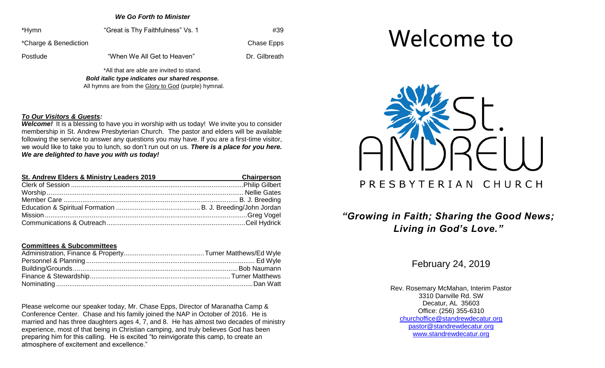*We Go Forth to Minister*

\*Hymn "Great is Thy Faithfulness" Vs. 1 #39 \*Charge & Benediction Chase Epps Postlude "When We All Get to Heaven" Dr. Gilbreath

\*All that are able are invited to stand. *Bold italic type indicates our shared response.* All hymns are from the Glory to God (purple) hymnal.

#### *To Our Visitors & Guests:*

*Welcome!* It is a blessing to have you in worship with us today! We invite you to consider membership in St. Andrew Presbyterian Church. The pastor and elders will be available following the service to answer any questions you may have. If you are a first-time visitor, we would like to take you to lunch, so don't run out on us. *There is a place for you here. We are delighted to have you with us today!*

| St. Andrew Elders & Ministry Leaders 2019 | Chairperson |
|-------------------------------------------|-------------|
|                                           |             |
|                                           |             |
|                                           |             |
|                                           |             |
|                                           |             |
|                                           |             |

#### **Committees & Subcommittees**

Please welcome our speaker today, Mr. Chase Epps, Director of Maranatha Camp & Conference Center. Chase and his family joined the NAP in October of 2016. He is married and has three daughters ages 4, 7, and 8. He has almost two decades of ministry experience, most of that being in Christian camping, and truly believes God has been preparing him for this calling. He is excited "to reinvigorate this camp, to create an atmosphere of excitement and excellence."





# *"Growing in Faith; Sharing the Good News; Living in God's Love."*

February 24, 2019

Rev. Rosemary McMahan, Interim Pastor 3310 Danville Rd. SW Decatur, AL 35603 Office: (256) 355-6310 [churchoffice@standrewdecatur.org](mailto:churchoffice@standrewdecatur.org) pastor@standrewdecatur.org [www.standrewdecatur.org](http://www.standrewdecatur.org/)